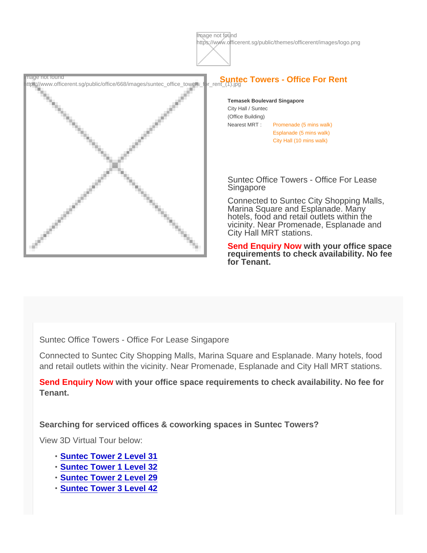Image not found<br>https://www.officerent.sg/public/office/668/images/suntec\_office\_towers\_for\_rent\_(1).jpg

Temasek Boulevard Singapore City Hall / Suntec (Office Building) Nearest MRT : Promenade (5 mins walk) Esplanade (5 mins walk) City Hall (10 mins walk)

Suntec Office Towers - Office For Lease Singapore

Connected to Suntec City Shopping Malls, Marina Square and Esplanade. Many hotels, food and retail outlets within the vicinity. Near Promenade, Esplanade and City Hall MRT stations.

Send Enquiry Now with your office space requirements to check availability. No fee for Tenant.

Suntec Office Towers - Office For Lease Singapore

Connected to Suntec City Shopping Malls, Marina Square and Esplanade. Many hotels, food and retail outlets within the vicinity. Near Promenade, Esplanade and City Hall MRT stations.

Send Enquiry Now with your office space requirements to check availability. No fee for Tenant.

Searching for serviced offices & coworking spaces in Suntec Towers?

View 3D Virtual Tour below:

- [Suntec Tower 2 Level 31](https://spacespace3d.co/3d-model/suntec-tower-2-level-31-serviced-offices/fullscreen/)
- [Suntec Tower 1 Level 32](https://spacespace3d.co/3d-model/suntec-tower-1-level-32-serviced-offices/fullscreen/)
- [Suntec Tower 2 Level 29](https://www.officerent.sg/office-property/?id=680)
- [Suntec Tower 3 Level 42](https://www.officerent.sg/office-property/?id=724)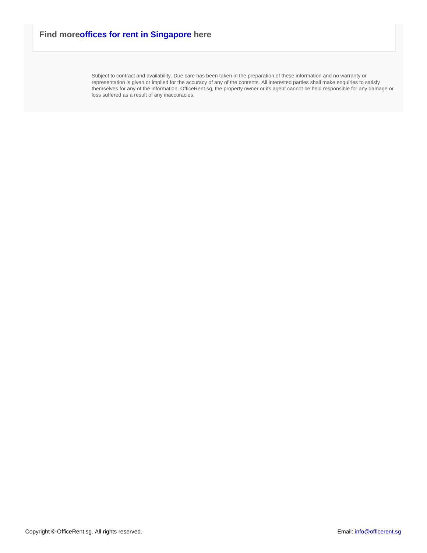Subject to contract and availability. Due care has been taken in the preparation of these information and no warranty or representation is given or implied for the accuracy of any of the contents. All interested parties shall make enquiries to satisfy themselves for any of the information. OfficeRent.sg, the property owner or its agent cannot be held responsible for any damage or loss suffered as a result of any inaccuracies.